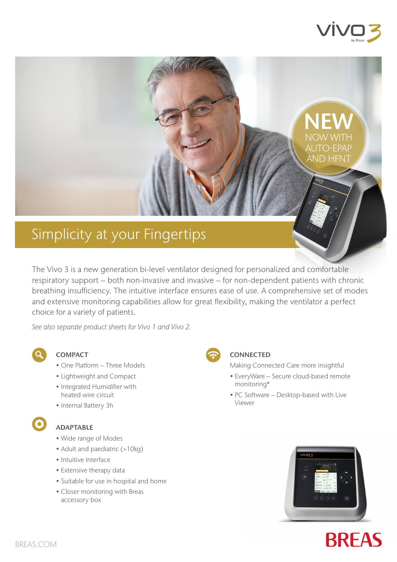

**NEW** 

NOW WITH AUTO-EPAP AND HFNT

# Simplicity at your Fingertips

The Vivo 3 is a new generation bi-level ventilator designed for personalized and comfortable respiratory support – both non-invasive and invasive – for non-dependent patients with chronic breathing insufficiency. The intuitive interface ensures ease of use. A comprehensive set of modes and extensive monitoring capabilities allow for great flexibility, making the ventilator a perfect choice for a variety of patients.

*See also separate product sheets for Vivo 1 and Vivo 2.*

| ٠      |  |
|--------|--|
| ×<br>ł |  |

#### **COMPACT**

- One Platform − Three Models
- Lightweight and Compact
- Integrated Humidifier with heated wire circuit
- Internal Battery 3h

### ADAPTABLE

- Wide range of Modes
- Adult and paediatric (>10kg)
- Intuitive Interface
- Extensive therapy data
- Suitable for use in hospital and home
- Closer monitoring with Breas accessory box



#### **CONNECTED**

Making Connected Care more insightful

- EveryWare Secure cloud-based remote monitoring\*
- PC Software Desktop-based with Live Viewer